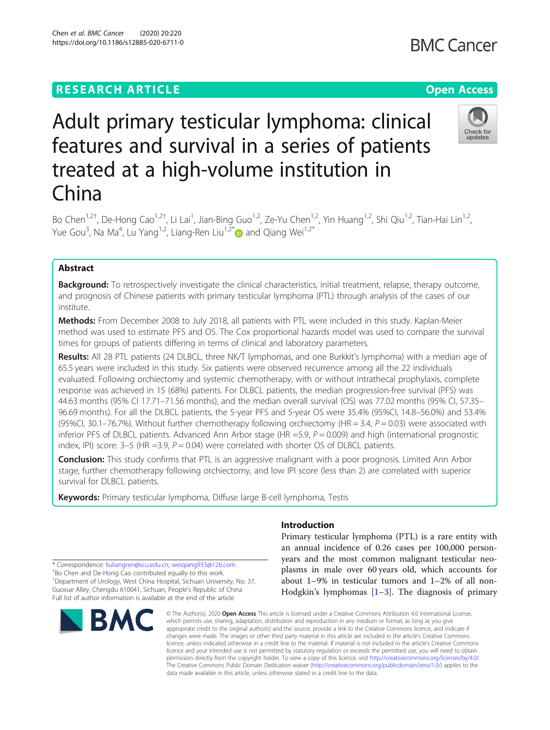# Adult primary testicular lymphoma: clinical features and survival in a series of patients treated at a high-volume institution in China

Bo Chen<sup>1,2†</sup>, De-Hong Cao<sup>1,2†</sup>, Li Lai<sup>1</sup>, Jian-Bing Guo<sup>1,2</sup>, Ze-Yu Chen<sup>1,2</sup>, Yin Huang<sup>1,2</sup>, Shi Qiu<sup>1,2</sup>, Tian-Hai Lin<sup>1,2</sup>, Yue Gou<sup>3</sup>, Na Ma<sup>4</sup>, Lu Yang<sup>1,2</sup>, Liang-Ren Liu<sup>1,2[\\*](http://orcid.org/0000-0001-7597-6241)</sup> and Qiang Wei<sup>1,2\*</sup>

## Abstract

**Background:** To retrospectively investigate the clinical characteristics, initial treatment, relapse, therapy outcome, and prognosis of Chinese patients with primary testicular lymphoma (PTL) through analysis of the cases of our institute.

Methods: From December 2008 to July 2018, all patients with PTL were included in this study. Kaplan-Meier method was used to estimate PFS and OS. The Cox proportional hazards model was used to compare the survival times for groups of patients differing in terms of clinical and laboratory parameters.

Results: All 28 PTL patients (24 DLBCL, three NK/T lymphomas, and one Burkkit's lymphoma) with a median age of 65.5 years were included in this study. Six patients were observed recurrence among all the 22 individuals evaluated. Following orchiectomy and systemic chemotherapy, with or without intrathecal prophylaxis, complete response was achieved in 15 (68%) patients. For DLBCL patients, the median progression-free survival (PFS) was 44.63 months (95% CI 17.71–71.56 months), and the median overall survival (OS) was 77.02 months (95% CI, 57.35– 96.69 months). For all the DLBCL patients, the 5-year PFS and 5-year OS were 35.4% (95%CI, 14.8–56.0%) and 53.4% (95%CI, 30.1–76.7%). Without further chemotherapy following orchiectomy (HR = 3.4,  $P = 0.03$ ) were associated with inferior PFS of DLBCL patients. Advanced Ann Arbor stage (HR =5.9,  $P = 0.009$ ) and high (international prognostic index, IPI) score:  $3-5$  (HR =  $3.9$ ,  $P = 0.04$ ) were correlated with shorter OS of DLBCL patients.

**Conclusion:** This study confirms that PTL is an aggressive malignant with a poor prognosis. Limited Ann Arbor stage, further chemotherapy following orchiectomy, and low IPI score (less than 2) are correlated with superior survival for DLBCL patients.

Keywords: Primary testicular lymphoma, Diffuse large B-cell lymphoma, Testis

## Introduction

Primary testicular lymphoma (PTL) is a rare entity with an annual incidence of 0.26 cases per 100,000 personyears and the most common malignant testicular neoplasms in male over 60 years old, which accounts for about 1–9% in testicular tumors and 1–2% of all non-Hodgkin's lymphomas  $[1-3]$  $[1-3]$  $[1-3]$  $[1-3]$ . The diagnosis of primary

© The Author(s), 2020 **Open Access** This article is licensed under a Creative Commons Attribution 4.0 International License, which permits use, sharing, adaptation, distribution and reproduction in any medium or format, as long as you give appropriate credit to the original author(s) and the source, provide a link to the Creative Commons licence, and indicate if changes were made. The images or other third party material in this article are included in the article's Creative Commons licence, unless indicated otherwise in a credit line to the material. If material is not included in the article's Creative Commons licence and your intended use is not permitted by statutory regulation or exceeds the permitted use, you will need to obtain permission directly from the copyright holder. To view a copy of this licence, visit [http://creativecommons.org/licenses/by/4.0/.](http://creativecommons.org/licenses/by/4.0/) The Creative Commons Public Domain Dedication waiver [\(http://creativecommons.org/publicdomain/zero/1.0/](http://creativecommons.org/publicdomain/zero/1.0/)) applies to the data made available in this article, unless otherwise stated in a credit line to the data.

\* Correspondence: [liuliangren@scu.edu.cn;](mailto:liuliangren@scu.edu.cn) [weiqiang933@126.com](mailto:weiqiang933@126.com) † <sup>+</sup>Bo Chen and De-Hong Cao contributed equally to this work. <sup>1</sup>Department of Urology, West China Hospital, Sichuan University, No. 37, Guoxue Alley, Chengdu 610041, Sichuan, People's Republic of China Full list of author information is available at the end of the article

BMC



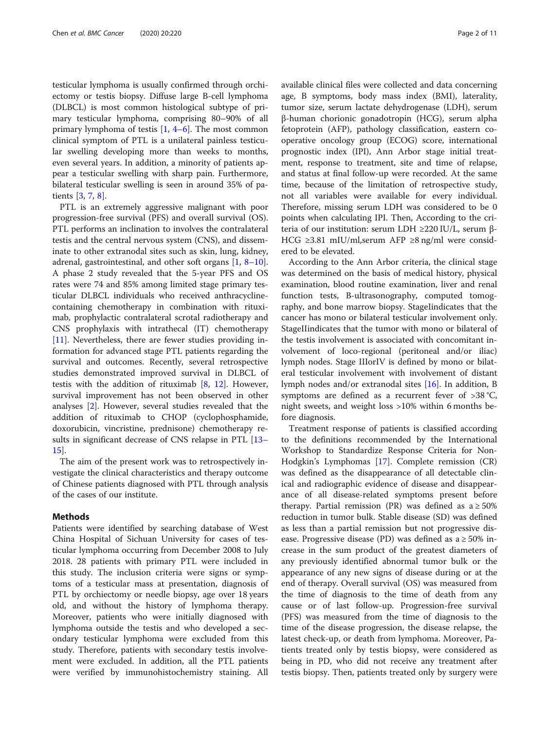testicular lymphoma is usually confirmed through orchiectomy or testis biopsy. Diffuse large B-cell lymphoma (DLBCL) is most common histological subtype of primary testicular lymphoma, comprising 80–90% of all primary lymphoma of testis [[1,](#page-9-0) [4](#page-9-0)–[6\]](#page-9-0). The most common clinical symptom of PTL is a unilateral painless testicular swelling developing more than weeks to months, even several years. In addition, a minority of patients appear a testicular swelling with sharp pain. Furthermore, bilateral testicular swelling is seen in around 35% of patients [\[3](#page-9-0), [7](#page-9-0), [8](#page-9-0)].

PTL is an extremely aggressive malignant with poor progression-free survival (PFS) and overall survival (OS). PTL performs an inclination to involves the contralateral testis and the central nervous system (CNS), and disseminate to other extranodal sites such as skin, lung, kidney, adrenal, gastrointestinal, and other soft organs [\[1](#page-9-0), [8](#page-9-0)–[10](#page-9-0)]. A phase 2 study revealed that the 5-year PFS and OS rates were 74 and 85% among limited stage primary testicular DLBCL individuals who received anthracyclinecontaining chemotherapy in combination with rituximab, prophylactic contralateral scrotal radiotherapy and CNS prophylaxis with intrathecal (IT) chemotherapy [[11\]](#page-9-0). Nevertheless, there are fewer studies providing information for advanced stage PTL patients regarding the survival and outcomes. Recently, several retrospective studies demonstrated improved survival in DLBCL of testis with the addition of rituximab [\[8](#page-9-0), [12\]](#page-9-0). However, survival improvement has not been observed in other analyses [\[2](#page-9-0)]. However, several studies revealed that the addition of rituximab to CHOP (cyclophosphamide, doxorubicin, vincristine, prednisone) chemotherapy re-sults in significant decrease of CNS relapse in PTL [[13](#page-9-0)– [15\]](#page-9-0).

The aim of the present work was to retrospectively investigate the clinical characteristics and therapy outcome of Chinese patients diagnosed with PTL through analysis of the cases of our institute.

## Methods

Patients were identified by searching database of West China Hospital of Sichuan University for cases of testicular lymphoma occurring from December 2008 to July 2018. 28 patients with primary PTL were included in this study. The inclusion criteria were signs or symptoms of a testicular mass at presentation, diagnosis of PTL by orchiectomy or needle biopsy, age over 18 years old, and without the history of lymphoma therapy. Moreover, patients who were initially diagnosed with lymphoma outside the testis and who developed a secondary testicular lymphoma were excluded from this study. Therefore, patients with secondary testis involvement were excluded. In addition, all the PTL patients were verified by immunohistochemistry staining. All available clinical files were collected and data concerning age, B symptoms, body mass index (BMI), laterality, tumor size, serum lactate dehydrogenase (LDH), serum β-human chorionic gonadotropin (HCG), serum alpha fetoprotein (AFP), pathology classification, eastern cooperative oncology group (ECOG) score, international prognostic index (IPI), Ann Arbor stage initial treatment, response to treatment, site and time of relapse, and status at final follow-up were recorded. At the same time, because of the limitation of retrospective study, not all variables were available for every individual. Therefore, missing serum LDH was considered to be 0 points when calculating IPI. Then, According to the criteria of our institution: serum LDH ≥220 IU/L, serum β-HCG ≥3.81 mIU/ml,serum AFP ≥8 ng/ml were considered to be elevated.

According to the Ann Arbor criteria, the clinical stage was determined on the basis of medical history, physical examination, blood routine examination, liver and renal function tests, B-ultrasonography, computed tomography, and bone marrow biopsy. StageIindicates that the cancer has mono or bilateral testicular involvement only. StageIIindicates that the tumor with mono or bilateral of the testis involvement is associated with concomitant involvement of loco-regional (peritoneal and/or iliac) lymph nodes. Stage IIIorIV is defined by mono or bilateral testicular involvement with involvement of distant lymph nodes and/or extranodal sites [[16\]](#page-9-0). In addition, B symptoms are defined as a recurrent fever of >38 °C, night sweets, and weight loss >10% within 6 months before diagnosis.

Treatment response of patients is classified according to the definitions recommended by the International Workshop to Standardize Response Criteria for Non-Hodgkin's Lymphomas [[17](#page-9-0)]. Complete remission (CR) was defined as the disappearance of all detectable clinical and radiographic evidence of disease and disappearance of all disease-related symptoms present before therapy. Partial remission (PR) was defined as  $a \ge 50\%$ reduction in tumor bulk. Stable disease (SD) was defined as less than a partial remission but not progressive disease. Progressive disease (PD) was defined as  $a \ge 50\%$  increase in the sum product of the greatest diameters of any previously identified abnormal tumor bulk or the appearance of any new signs of disease during or at the end of therapy. Overall survival (OS) was measured from the time of diagnosis to the time of death from any cause or of last follow-up. Progression-free survival (PFS) was measured from the time of diagnosis to the time of the disease progression, the disease relapse, the latest check-up, or death from lymphoma. Moreover, Patients treated only by testis biopsy, were considered as being in PD, who did not receive any treatment after testis biopsy. Then, patients treated only by surgery were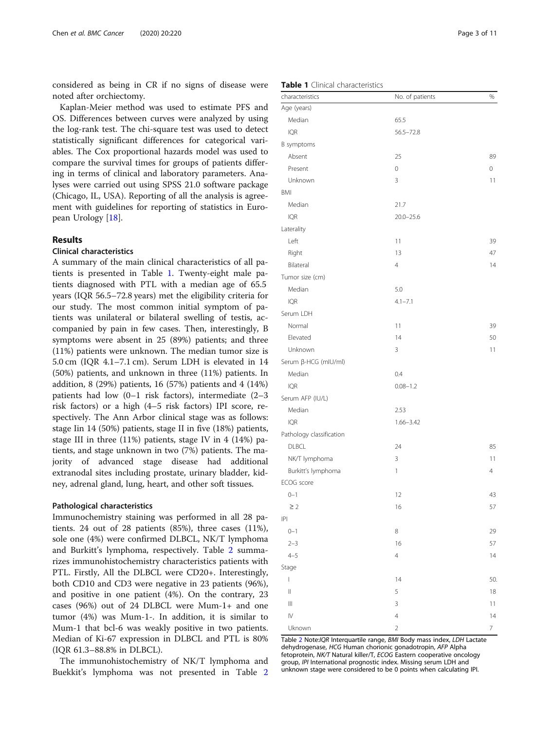considered as being in CR if no signs of disease were noted after orchiectomy.

Kaplan-Meier method was used to estimate PFS and OS. Differences between curves were analyzed by using the log-rank test. The chi-square test was used to detect statistically significant differences for categorical variables. The Cox proportional hazards model was used to compare the survival times for groups of patients differing in terms of clinical and laboratory parameters. Analyses were carried out using SPSS 21.0 software package (Chicago, IL, USA). Reporting of all the analysis is agreement with guidelines for reporting of statistics in European Urology [[18\]](#page-9-0).

## Results

## Clinical characteristics

A summary of the main clinical characteristics of all patients is presented in Table 1. Twenty-eight male patients diagnosed with PTL with a median age of 65.5 years (IQR 56.5–72.8 years) met the eligibility criteria for our study. The most common initial symptom of patients was unilateral or bilateral swelling of testis, accompanied by pain in few cases. Then, interestingly, B symptoms were absent in 25 (89%) patients; and three (11%) patients were unknown. The median tumor size is 5.0 cm (IQR 4.1–7.1 cm). Serum LDH is elevated in 14 (50%) patients, and unknown in three (11%) patients. In addition, 8 (29%) patients, 16 (57%) patients and 4 (14%) patients had low (0–1 risk factors), intermediate (2–3 risk factors) or a high (4–5 risk factors) IPI score, respectively. The Ann Arbor clinical stage was as follows: stage Iin 14 (50%) patients, stage II in five (18%) patients, stage III in three (11%) patients, stage IV in 4 (14%) patients, and stage unknown in two (7%) patients. The majority of advanced stage disease had additional extranodal sites including prostate, urinary bladder, kidney, adrenal gland, lung, heart, and other soft tissues.

## Pathological characteristics

Immunochemistry staining was performed in all 28 patients. 24 out of 28 patients (85%), three cases (11%), sole one (4%) were confirmed DLBCL, NK/T lymphoma and Burkitt's lymphoma, respectively. Table [2](#page-3-0) summarizes immunohistochemistry characteristics patients with PTL. Firstly, All the DLBCL were CD20+. Interestingly, both CD10 and CD3 were negative in 23 patients (96%), and positive in one patient (4%). On the contrary, 23 cases (96%) out of 24 DLBCL were Mum-1+ and one tumor (4%) was Mum-1-. In addition, it is similar to Mum-1 that bcl-6 was weakly positive in two patients. Median of Ki-67 expression in DLBCL and PTL is 80% (IQR 61.3–88.8% in DLBCL).

The immunohistochemistry of NK/T lymphoma and Buekkit's lymphoma was not presented in Table [2](#page-3-0)

| Age (years)                          |                |                 |
|--------------------------------------|----------------|-----------------|
| Median                               | 65.5           |                 |
| <b>IQR</b>                           | $56.5 - 72.8$  |                 |
| <b>B</b> symptoms                    |                |                 |
| Absent                               | 25             | 89              |
| Present                              | 0              | 0               |
| Unknown                              | 3              | 11              |
| BMI                                  |                |                 |
| Median                               | 21.7           |                 |
| <b>IQR</b>                           | $20.0 - 25.6$  |                 |
| Laterality                           |                |                 |
| Left                                 | 11             | 39              |
| Right                                | 13             | 47              |
| Bilateral                            | 4              | 14              |
| Tumor size (cm)                      |                |                 |
| Median                               | 5.0            |                 |
| <b>IQR</b>                           | $4.1 - 7.1$    |                 |
| Serum LDH                            |                |                 |
| Normal                               | 11             | 39              |
| Elevated                             | 14             | 50              |
| Unknown                              | 3              | 11              |
| Serum β-HCG (mIU/ml)                 |                |                 |
| Median                               | 0.4            |                 |
| <b>IQR</b>                           | $0.08 - 1.2$   |                 |
| Serum AFP (IU/L)                     |                |                 |
| Median                               | 2.53           |                 |
| <b>IQR</b>                           | $1.66 - 3.42$  |                 |
| Pathology classification             |                |                 |
| <b>DLBCL</b>                         | 24             | 85              |
| NK/T lymphoma                        | 3              | 11              |
| Burkitt's lymphoma                   | 1              | 4               |
| ECOG score                           |                |                 |
| $0 - 1$                              | 12             | 43              |
| $\geq$ 2                             | 16             | 57              |
| P                                    |                |                 |
| $0 - 1$                              | 8              | 29              |
| $2 - 3$                              | 16             | 57              |
| $4 - 5$                              | $\overline{4}$ | $\overline{14}$ |
| Stage                                |                |                 |
| $\bar{\rm I}$                        | 14             | 50              |
| $\lvert \rvert$                      | 5              | 18              |
| $\left\vert \right\vert \right\vert$ | 3              | $\overline{11}$ |
| $\overline{\mathsf{N}}$              | $\overline{4}$ | $\overline{14}$ |

characteristics 600 Mo. of patients 600 Mo. of patients 600 Mo. of patients 600 Mo. of patients 600 Mo. of patients 600 Mo. of patients 600 Mo. of patients 600 Mo. of patients 600 Mo. of patients 600 Mo. of patients 600 Mo

Table [2](#page-3-0) Note:IQR Interquartile range, BMI Body mass index, LDH Lactate dehydrogenase, HCG Human chorionic gonadotropin, AFP Alpha fetoprotein, NK/T Natural killer/T, ECOG Eastern cooperative oncology group, IPI International prognostic index. Missing serum LDH and unknown stage were considered to be 0 points when calculating IPI.

Uknown 2 2 7

Table 1 Clinical characteristics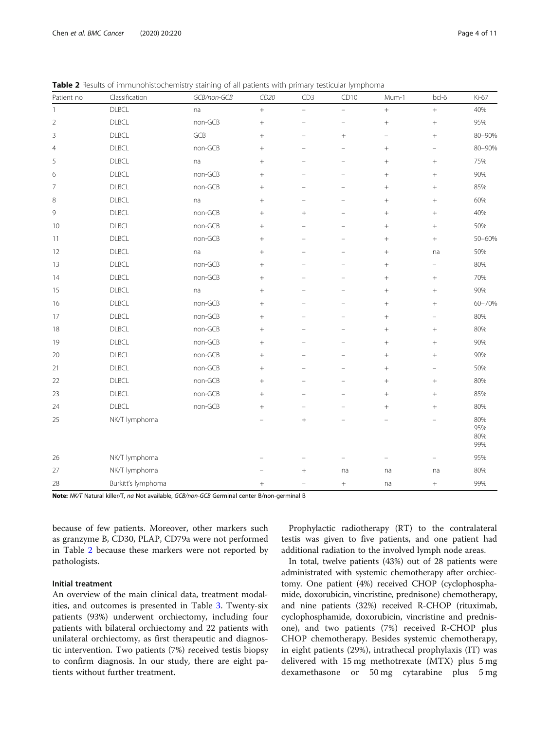| Patient no     | Classification     | GCB/non-GCB | CD20             | CD <sub>3</sub>          | CD10                     | Mum-1             | bcl-6                    | Ki-67                    |
|----------------|--------------------|-------------|------------------|--------------------------|--------------------------|-------------------|--------------------------|--------------------------|
| 1              | <b>DLBCL</b>       | na          | $\, +$           | $\equiv$                 | $\bar{ }$                | $^{+}$            | $^{+}$                   | 40%                      |
| $\overline{2}$ | DLBCL              | non-GCB     | $\boldsymbol{+}$ | -                        | $\overline{\phantom{0}}$ | $\! + \!$         | $^{+}$                   | 95%                      |
| $\mathsf 3$    | <b>DLBCL</b>       | GCB         | $^{+}$           | $\overline{\phantom{0}}$ | $+$                      | $\qquad \qquad -$ | $^+$                     | 80-90%                   |
| $\overline{4}$ | <b>DLBCL</b>       | non-GCB     | $^{+}$           | $\overline{\phantom{0}}$ | $\equiv$                 | $^{+}$            | $\overline{\phantom{0}}$ | 80-90%                   |
| 5              | <b>DLBCL</b>       | na          | $^{+}$           | L,                       |                          | $\! + \!$         | $\! + \!\!\!\!$          | 75%                      |
| 6              | <b>DLBCL</b>       | non-GCB     | $^{+}$           |                          |                          | $\! + \!$         | $^+$                     | 90%                      |
| 7              | <b>DLBCL</b>       | non-GCB     | $\! + \!\!\!\!$  |                          |                          | $\! + \!$         | $^+$                     | 85%                      |
| 8              | <b>DLBCL</b>       | na          | $^{+}$           | $\overline{\phantom{0}}$ |                          | $\! + \!$         | $^+$                     | 60%                      |
| 9              | DLBCL              | non-GCB     | $^{+}$           | $^{+}$                   |                          | $\! + \!$         | $^+$                     | 40%                      |
| 10             | <b>DLBCL</b>       | non-GCB     | $^{+}$           |                          |                          |                   | $^{+}$                   | 50%                      |
| 11             | <b>DLBCL</b>       | non-GCB     | $^{+}$           | L,                       | ÷                        | $\! + \!$         | $^{+}$                   | 50-60%                   |
| 12             | <b>DLBCL</b>       | na          | $^{+}$           |                          |                          | $^{+}$            | na                       | 50%                      |
| 13             | <b>DLBCL</b>       | non-GCB     | $+$              |                          | $\overline{\phantom{0}}$ | $\! + \!$         | $\overline{\phantom{0}}$ | 80%                      |
| 14             | <b>DLBCL</b>       | non-GCB     | $+$              |                          | $\overline{\phantom{0}}$ | $^{+}$            | $^{+}$                   | 70%                      |
| 15             | <b>DLBCL</b>       | na          | $\! + \!\!\!\!$  |                          |                          | $\! + \!$         | $\! + \!$                | 90%                      |
| 16             | <b>DLBCL</b>       | non-GCB     | $\boldsymbol{+}$ | $\overline{\phantom{0}}$ | L.                       | $\! + \!$         | $\! + \!$                | 60-70%                   |
| 17             | <b>DLBCL</b>       | non-GCB     | $\boldsymbol{+}$ |                          |                          | $\! + \!$         | $\overline{\phantom{0}}$ | 80%                      |
| 18             | <b>DLBCL</b>       | non-GCB     | $^{+}$           |                          |                          | $\! + \!$         | $^+$                     | 80%                      |
| 19             | <b>DLBCL</b>       | non-GCB     | $^{+}$           |                          |                          | $\! + \!$         | $^+$                     | 90%                      |
| 20             | <b>DLBCL</b>       | non-GCB     | $^{+}$           | $\overline{\phantom{0}}$ | ÷                        | $\! + \!$         | $^+$                     | 90%                      |
| 21             | <b>DLBCL</b>       | non-GCB     | $^{+}$           | L,                       |                          | $\! + \!$         | $\overline{\phantom{0}}$ | 50%                      |
| 22             | <b>DLBCL</b>       | non-GCB     | $^{+}$           | $\overline{\phantom{0}}$ |                          | $\! + \!$         | $^+$                     | 80%                      |
| 23             | <b>DLBCL</b>       | non-GCB     | $\boldsymbol{+}$ |                          |                          | $^{+}$            | $\! + \!$                | 85%                      |
| 24             | <b>DLBCL</b>       | non-GCB     | $+$              |                          |                          | $\! + \!$         | $^+$                     | 80%                      |
| 25             | NK/T lymphoma      |             |                  | $\! +$                   |                          |                   | $\overline{\phantom{a}}$ | 80%<br>95%<br>80%<br>99% |
| 26             | NK/T lymphoma      |             |                  |                          |                          |                   |                          | 95%                      |
| 27             | NK/T lymphoma      |             |                  |                          | na                       | na                | na                       | 80%                      |
| 28             | Burkitt's lymphoma |             | $^{+}$           | $\overline{\phantom{0}}$ | $\! +$                   | na                | $\! + \!$                | 99%                      |

<span id="page-3-0"></span>Table 2 Results of immunohistochemistry staining of all patients with primary testicular lymphoma

Note: NK/T Natural killer/T, na Not available, GCB/non-GCB Germinal center B/non-germinal B

because of few patients. Moreover, other markers such as granzyme B, CD30, PLAP, CD79a were not performed in Table 2 because these markers were not reported by pathologists.

## Initial treatment

An overview of the main clinical data, treatment modalities, and outcomes is presented in Table [3](#page-4-0). Twenty-six patients (93%) underwent orchiectomy, including four patients with bilateral orchiectomy and 22 patients with unilateral orchiectomy, as first therapeutic and diagnostic intervention. Two patients (7%) received testis biopsy to confirm diagnosis. In our study, there are eight patients without further treatment.

Prophylactic radiotherapy (RT) to the contralateral testis was given to five patients, and one patient had additional radiation to the involved lymph node areas.

In total, twelve patients (43%) out of 28 patients were administrated with systemic chemotherapy after orchiectomy. One patient (4%) received CHOP (cyclophosphamide, doxorubicin, vincristine, prednisone) chemotherapy, and nine patients (32%) received R-CHOP (rituximab, cyclophosphamide, doxorubicin, vincristine and prednisone), and two patients (7%) received R-CHOP plus CHOP chemotherapy. Besides systemic chemotherapy, in eight patients (29%), intrathecal prophylaxis (IT) was delivered with 15 mg methotrexate (MTX) plus 5 mg dexamethasone or 50 mg cytarabine plus 5 mg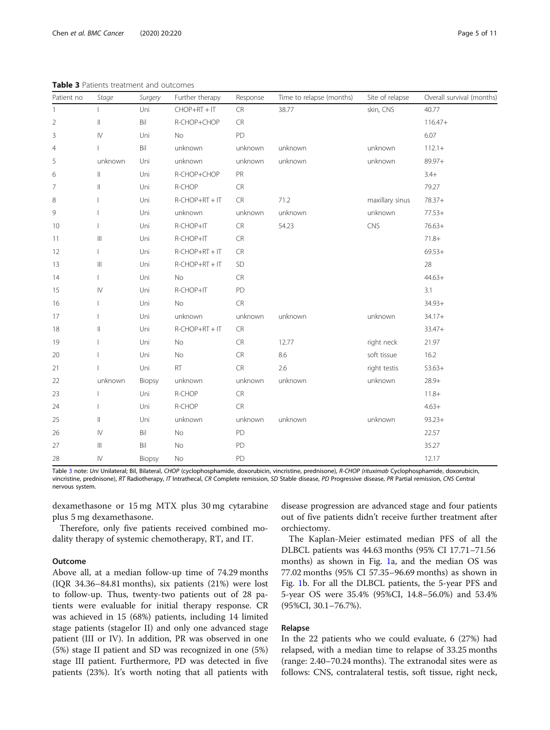<span id="page-4-0"></span>Table 3 Patients treatment and outcomes

| Patient no     | Stage                                | Surgery | Further therapy   | Response   | Time to relapse (months) | Site of relapse | Overall survival (months) |
|----------------|--------------------------------------|---------|-------------------|------------|--------------------------|-----------------|---------------------------|
| 1              |                                      | Uni     | $CHOP+RT + IT$    | ${\sf CR}$ | 38.77                    | skin, CNS       | 40.77                     |
| $\overline{2}$ | $\parallel$                          | Bil     | R-CHOP+CHOP       | <b>CR</b>  |                          |                 | $116.47+$                 |
| 3              | $\mathsf{I}\mathsf{V}$               | Uni     | No                | PD         |                          |                 | 6.07                      |
| 4              | L                                    | Bil     | unknown           | unknown    | unknown                  | unknown         | $112.1+$                  |
| 5              | unknown                              | Uni     | unknown           | unknown    | unknown                  | unknown         | 89.97+                    |
| 6              | 11                                   | Uni     | R-CHOP+CHOP       | PR         |                          |                 | $3.4+$                    |
| 7              | $\parallel$                          | Uni     | R-CHOP            | <b>CR</b>  |                          |                 | 79.27                     |
| 8              |                                      | Uni     | $R$ -CHOP+RT + IT | ${\sf CR}$ | 71.2                     | maxillary sinus | 78.37+                    |
| 9              |                                      | Uni     | unknown           | unknown    | unknown                  | unknown         | $77.53+$                  |
| 10             | L                                    | Uni     | R-CHOP+IT         | <b>CR</b>  | 54.23                    | CNS             | $76.63+$                  |
| 11             | $\left\vert \right\vert \right\vert$ | Uni     | R-CHOP+IT         | <b>CR</b>  |                          |                 | $71.8+$                   |
| 12             | L                                    | Uni     | $R$ -CHOP+RT + IT | <b>CR</b>  |                          |                 | $69.53+$                  |
| 13             | $\left\vert \right\vert \right\vert$ | Uni     | $R$ -CHOP+RT + IT | SD         |                          |                 | 28                        |
| 14             | L                                    | Uni     | No                | ${\sf CR}$ |                          |                 | $44.63+$                  |
| 15             | $\mathsf{IV}$                        | Uni     | R-CHOP+IT         | PD         |                          |                 | 3.1                       |
| 16             |                                      | Uni     | No                | CR         |                          |                 | $34.93+$                  |
| 17             |                                      | Uni     | unknown           | unknown    | unknown                  | unknown         | $34.17+$                  |
| 18             | $\mathsf{I}$                         | Uni     | $R$ -CHOP+RT + IT | CR         |                          |                 | $33.47+$                  |
| 19             |                                      | Uni     | No                | CR         | 12.77                    | right neck      | 21.97                     |
| 20             |                                      | Uni     | No                | CR         | 8.6                      | soft tissue     | 16.2                      |
| 21             |                                      | Uni     | RT                | ${\sf CR}$ | 2.6                      | right testis    | $53.63+$                  |
| 22             | unknown                              | Biopsy  | unknown           | unknown    | unknown                  | unknown         | $28.9+$                   |
| 23             | L                                    | Uni     | R-CHOP            | CR         |                          |                 | $11.8+$                   |
| 24             |                                      | Uni     | R-CHOP            | CR         |                          |                 | $4.63+$                   |
| 25             | 11                                   | Uni     | unknown           | unknown    | unknown                  | unknown         | $93.23+$                  |
| 26             | $\mathsf{IV}$                        | Bil     | $\rm No$          | PD         |                          |                 | 22.57                     |
| 27             | $\left\vert \right\vert \right\vert$ | Bil     | No                | PD         |                          |                 | 35.27                     |
| 28             | ${\sf IV}$                           | Biopsy  | No                | PD         |                          |                 | 12.17                     |

Table 3 note: Uni Unilateral; Bil, Bilateral, CHOP (cyclophosphamide, doxorubicin, vincristine, prednisone), R-CHOP (rituximab Cyclophosphamide, doxorubicin, vincristine, prednisone), RT Radiotherapy, IT Intrathecal, CR Complete remission, SD Stable disease, PD Progressive disease, PR Partial remission, CNS Central nervous system.

dexamethasone or 15 mg MTX plus 30 mg cytarabine plus 5 mg dexamethasone.

Therefore, only five patients received combined modality therapy of systemic chemotherapy, RT, and IT.

## Outcome

Above all, at a median follow-up time of 74.29 months (IQR 34.36–84.81 months), six patients (21%) were lost to follow-up. Thus, twenty-two patients out of 28 patients were evaluable for initial therapy response. CR was achieved in 15 (68%) patients, including 14 limited stage patients (stageIor II) and only one advanced stage patient (III or IV). In addition, PR was observed in one (5%) stage II patient and SD was recognized in one (5%) stage III patient. Furthermore, PD was detected in five patients (23%). It's worth noting that all patients with disease progression are advanced stage and four patients out of five patients didn't receive further treatment after orchiectomy.

The Kaplan-Meier estimated median PFS of all the DLBCL patients was 44.63 months (95% CI 17.71–71.56 months) as shown in Fig. [1a](#page-5-0), and the median OS was 77.02 months (95% CI 57.35–96.69 months) as shown in Fig. [1b](#page-5-0). For all the DLBCL patients, the 5-year PFS and 5-year OS were 35.4% (95%CI, 14.8–56.0%) and 53.4% (95%CI, 30.1–76.7%).

## Relapse

In the 22 patients who we could evaluate, 6 (27%) had relapsed, with a median time to relapse of 33.25 months (range: 2.40–70.24 months). The extranodal sites were as follows: CNS, contralateral testis, soft tissue, right neck,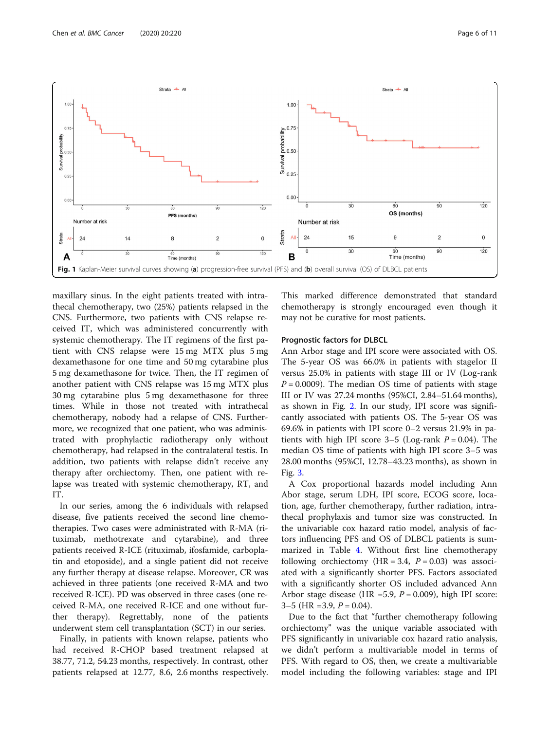<span id="page-5-0"></span>

maxillary sinus. In the eight patients treated with intrathecal chemotherapy, two (25%) patients relapsed in the CNS. Furthermore, two patients with CNS relapse received IT, which was administered concurrently with systemic chemotherapy. The IT regimens of the first patient with CNS relapse were 15 mg MTX plus 5 mg dexamethasone for one time and 50 mg cytarabine plus 5 mg dexamethasone for twice. Then, the IT regimen of another patient with CNS relapse was 15 mg MTX plus 30 mg cytarabine plus 5 mg dexamethasone for three times. While in those not treated with intrathecal chemotherapy, nobody had a relapse of CNS. Furthermore, we recognized that one patient, who was administrated with prophylactic radiotherapy only without chemotherapy, had relapsed in the contralateral testis. In addition, two patients with relapse didn't receive any therapy after orchiectomy. Then, one patient with relapse was treated with systemic chemotherapy, RT, and IT.

In our series, among the 6 individuals with relapsed disease, five patients received the second line chemotherapies. Two cases were administrated with R-MA (rituximab, methotrexate and cytarabine), and three patients received R-ICE (rituximab, ifosfamide, carboplatin and etoposide), and a single patient did not receive any further therapy at disease relapse. Moreover, CR was achieved in three patients (one received R-MA and two received R-ICE). PD was observed in three cases (one received R-MA, one received R-ICE and one without further therapy). Regrettably, none of the patients underwent stem cell transplantation (SCT) in our series.

Finally, in patients with known relapse, patients who had received R-CHOP based treatment relapsed at 38.77, 71.2, 54.23 months, respectively. In contrast, other patients relapsed at 12.77, 8.6, 2.6 months respectively. This marked difference demonstrated that standard chemotherapy is strongly encouraged even though it may not be curative for most patients.

## Prognostic factors for DLBCL

Ann Arbor stage and IPI score were associated with OS. The 5-year OS was 66.0% in patients with stageIor II versus 25.0% in patients with stage III or IV (Log-rank  $P = 0.0009$ . The median OS time of patients with stage III or IV was 27.24 months (95%CI, 2.84–51.64 months), as shown in Fig. [2.](#page-6-0) In our study, IPI score was significantly associated with patients OS. The 5-year OS was 69.6% in patients with IPI score 0–2 versus 21.9% in patients with high IPI score  $3-5$  (Log-rank  $P = 0.04$ ). The median OS time of patients with high IPI score 3–5 was 28.00 months (95%CI, 12.78–43.23 months), as shown in Fig. [3](#page-6-0).

A Cox proportional hazards model including Ann Abor stage, serum LDH, IPI score, ECOG score, location, age, further chemotherapy, further radiation, intrathecal prophylaxis and tumor size was constructed. In the univariable cox hazard ratio model, analysis of factors influencing PFS and OS of DLBCL patients is summarized in Table [4](#page-7-0). Without first line chemotherapy following orchiectomy  $(HR = 3.4, P = 0.03)$  was associated with a significantly shorter PFS. Factors associated with a significantly shorter OS included advanced Ann Arbor stage disease (HR =5.9,  $P = 0.009$ ), high IPI score:  $3-5$  (HR = 3.9,  $P = 0.04$ ).

Due to the fact that "further chemotherapy following orchiectomy" was the unique variable associated with PFS significantly in univariable cox hazard ratio analysis, we didn't perform a multivariable model in terms of PFS. With regard to OS, then, we create a multivariable model including the following variables: stage and IPI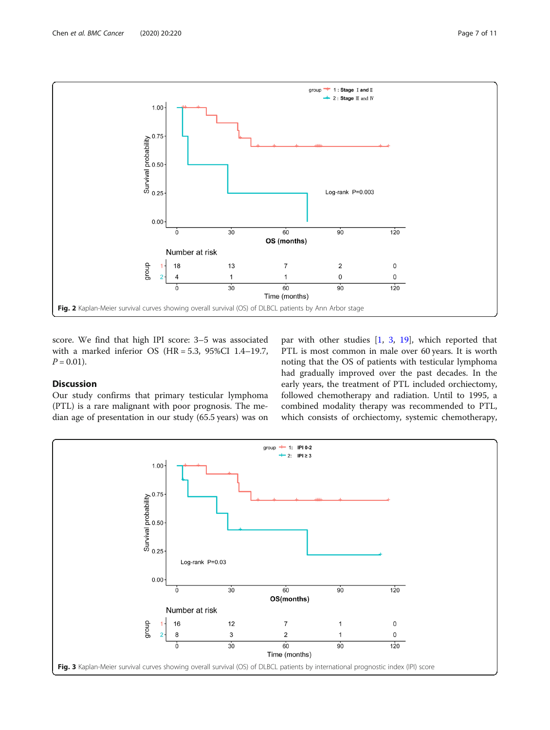<span id="page-6-0"></span>

score. We find that high IPI score: 3–5 was associated with a marked inferior OS (HR = 5.3, 95%CI 1.4–19.7,  $P = 0.01$ ).

## Discussion

Our study confirms that primary testicular lymphoma (PTL) is a rare malignant with poor prognosis. The median age of presentation in our study (65.5 years) was on

par with other studies [[1,](#page-9-0) [3,](#page-9-0) [19\]](#page-9-0), which reported that PTL is most common in male over 60 years. It is worth noting that the OS of patients with testicular lymphoma had gradually improved over the past decades. In the early years, the treatment of PTL included orchiectomy, followed chemotherapy and radiation. Until to 1995, a combined modality therapy was recommended to PTL, which consists of orchiectomy, systemic chemotherapy,

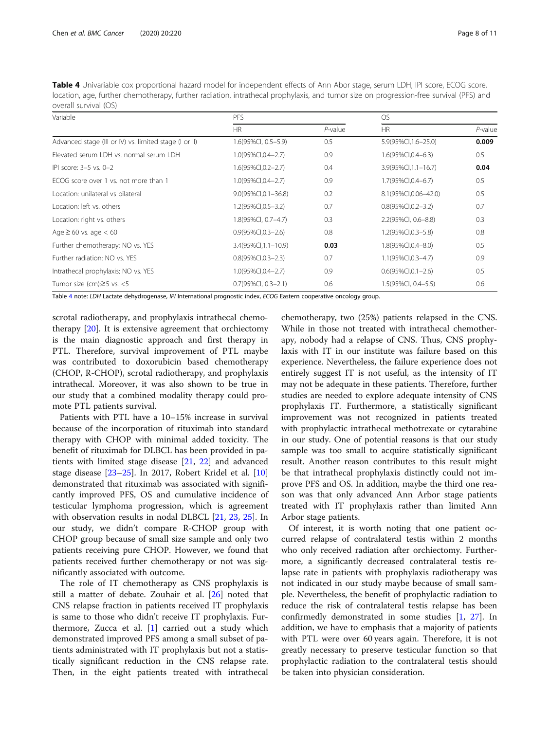<span id="page-7-0"></span>Table 4 Univariable cox proportional hazard model for independent effects of Ann Abor stage, serum LDH, IPI score, ECOG score, location, age, further chemotherapy, further radiation, intrathecal prophylaxis, and tumor size on progression-free survival (PFS) and overall survival (OS)

| <b>PFS</b>                |            | <b>OS</b>                 |            |  |
|---------------------------|------------|---------------------------|------------|--|
| <b>HR</b>                 | $P$ -value | <b>HR</b>                 | $P$ -value |  |
| $1.6(95\%CI, 0.5-5.9)$    | 0.5        | 5.9(95%Cl, 1.6-25.0)      | 0.009      |  |
| $1.0(95\%CI.0.4-2.7)$     | 0.9        | $1.6(95\%CI.0.4-6.3)$     | 0.5        |  |
| 1.6(95%CI,0.2-2.7)        | 0.4        | 3.9(95%Cl,1.1-16.7)       | 0.04       |  |
| $1.0(95\%CI.0.4-2.7)$     | 0.9        | 1.7(95%CI,0.4-6.7)        | 0.5        |  |
| $9.0(95\%CI.0.1 - 36.8)$  | 0.2        | 8.1(95%CI,0.06-42.0)      | 0.5        |  |
| $1.2(95\%CI.0.5-3.2)$     | 0.7        | $0.8(95\%$ CI, $0.2-3.2)$ | 0.7        |  |
| 1.8(95%Cl, 0.7-4.7)       | 0.3        | 2.2(95%CI, 0.6-8.8)       | 0.3        |  |
| $0.9(95\%$ CI, $0.3-2.6)$ | 0.8        | $1.2(95\%CI.0.3-5.8)$     | 0.8        |  |
| $3.4(95\%CI, 1.1-10.9)$   | 0.03       | $1.8(95\%CI.0.4-8.0)$     | 0.5        |  |
| $0.8(95\%$ CI, $0.3-2.3)$ | 0.7        | $1.1(95\%CI.0.3-4.7)$     | 0.9        |  |
| 1.0(95%CI,0.4-2.7)        | 0.9        | $0.6(95\%CI.0.1 - 2.6)$   | 0.5        |  |
| $0.7(95\%CI, 0.3-2.1)$    | 0.6        | $1.5(95\%CI, 0.4-5.5)$    | 0.6        |  |
|                           |            |                           |            |  |

Table 4 note: LDH Lactate dehydrogenase, IPI International prognostic index, ECOG Eastern cooperative oncology group.

scrotal radiotherapy, and prophylaxis intrathecal chemotherapy [\[20\]](#page-9-0). It is extensive agreement that orchiectomy is the main diagnostic approach and first therapy in PTL. Therefore, survival improvement of PTL maybe was contributed to doxorubicin based chemotherapy (CHOP, R-CHOP), scrotal radiotherapy, and prophylaxis intrathecal. Moreover, it was also shown to be true in our study that a combined modality therapy could promote PTL patients survival.

Patients with PTL have a 10–15% increase in survival because of the incorporation of rituximab into standard therapy with CHOP with minimal added toxicity. The benefit of rituximab for DLBCL has been provided in patients with limited stage disease [[21](#page-9-0), [22\]](#page-9-0) and advanced stage disease [[23](#page-9-0)–[25](#page-9-0)]. In 2017, Robert Kridel et al. [[10](#page-9-0)] demonstrated that rituximab was associated with significantly improved PFS, OS and cumulative incidence of testicular lymphoma progression, which is agreement with observation results in nodal DLBCL [[21,](#page-9-0) [23,](#page-9-0) [25](#page-9-0)]. In our study, we didn't compare R-CHOP group with CHOP group because of small size sample and only two patients receiving pure CHOP. However, we found that patients received further chemotherapy or not was significantly associated with outcome.

The role of IT chemotherapy as CNS prophylaxis is still a matter of debate. Zouhair et al. [[26\]](#page-9-0) noted that CNS relapse fraction in patients received IT prophylaxis is same to those who didn't receive IT prophylaxis. Furthermore, Zucca et al. [[1\]](#page-9-0) carried out a study which demonstrated improved PFS among a small subset of patients administrated with IT prophylaxis but not a statistically significant reduction in the CNS relapse rate. Then, in the eight patients treated with intrathecal

chemotherapy, two (25%) patients relapsed in the CNS. While in those not treated with intrathecal chemotherapy, nobody had a relapse of CNS. Thus, CNS prophylaxis with IT in our institute was failure based on this experience. Nevertheless, the failure experience does not entirely suggest IT is not useful, as the intensity of IT may not be adequate in these patients. Therefore, further studies are needed to explore adequate intensity of CNS prophylaxis IT. Furthermore, a statistically significant improvement was not recognized in patients treated with prophylactic intrathecal methotrexate or cytarabine in our study. One of potential reasons is that our study sample was too small to acquire statistically significant result. Another reason contributes to this result might be that intrathecal prophylaxis distinctly could not improve PFS and OS. In addition, maybe the third one reason was that only advanced Ann Arbor stage patients treated with IT prophylaxis rather than limited Ann Arbor stage patients.

Of interest, it is worth noting that one patient occurred relapse of contralateral testis within 2 months who only received radiation after orchiectomy. Furthermore, a significantly decreased contralateral testis relapse rate in patients with prophylaxis radiotherapy was not indicated in our study maybe because of small sample. Nevertheless, the benefit of prophylactic radiation to reduce the risk of contralateral testis relapse has been confirmedly demonstrated in some studies [\[1,](#page-9-0) [27](#page-9-0)]. In addition, we have to emphasis that a majority of patients with PTL were over 60 years again. Therefore, it is not greatly necessary to preserve testicular function so that prophylactic radiation to the contralateral testis should be taken into physician consideration.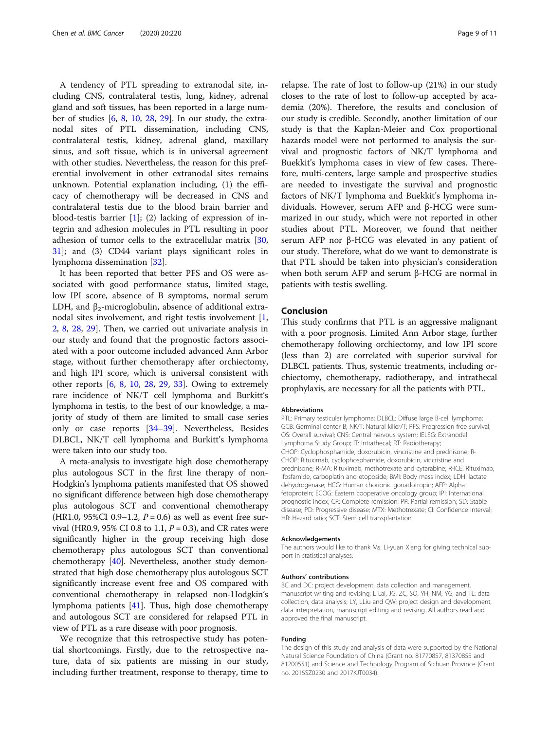A tendency of PTL spreading to extranodal site, including CNS, contralateral testis, lung, kidney, adrenal gland and soft tissues, has been reported in a large number of studies [\[6](#page-9-0), [8](#page-9-0), [10,](#page-9-0) [28](#page-9-0), [29](#page-9-0)]. In our study, the extranodal sites of PTL dissemination, including CNS, contralateral testis, kidney, adrenal gland, maxillary sinus, and soft tissue, which is in universal agreement with other studies. Nevertheless, the reason for this preferential involvement in other extranodal sites remains unknown. Potential explanation including, (1) the efficacy of chemotherapy will be decreased in CNS and contralateral testis due to the blood brain barrier and blood-testis barrier  $[1]$  $[1]$  $[1]$ ; (2) lacking of expression of integrin and adhesion molecules in PTL resulting in poor adhesion of tumor cells to the extracellular matrix [[30](#page-9-0), [31\]](#page-9-0); and (3) CD44 variant plays significant roles in lymphoma dissemination [[32](#page-9-0)].

It has been reported that better PFS and OS were associated with good performance status, limited stage, low IPI score, absence of B symptoms, normal serum LDH, and  $\beta_2$ -microglobulin, absence of additional extranodal sites involvement, and right testis involvement [\[1](#page-9-0), [2,](#page-9-0) [8](#page-9-0), [28,](#page-9-0) [29](#page-9-0)]. Then, we carried out univariate analysis in our study and found that the prognostic factors associated with a poor outcome included advanced Ann Arbor stage, without further chemotherapy after orchiectomy, and high IPI score, which is universal consistent with other reports [\[6](#page-9-0), [8](#page-9-0), [10](#page-9-0), [28](#page-9-0), [29](#page-9-0), [33\]](#page-9-0). Owing to extremely rare incidence of NK/T cell lymphoma and Burkitt's lymphoma in testis, to the best of our knowledge, a majority of study of them are limited to small case series only or case reports [\[34](#page-9-0)–[39\]](#page-10-0). Nevertheless, Besides DLBCL, NK/T cell lymphoma and Burkitt's lymphoma were taken into our study too.

A meta-analysis to investigate high dose chemotherapy plus autologous SCT in the first line therapy of non-Hodgkin's lymphoma patients manifested that OS showed no significant difference between high dose chemotherapy plus autologous SCT and conventional chemotherapy (HR1.0, 95%CI 0.9–1.2,  $P = 0.6$ ) as well as event free survival (HR0.9, 95% CI 0.8 to 1.1,  $P = 0.3$ ), and CR rates were significantly higher in the group receiving high dose chemotherapy plus autologous SCT than conventional chemotherapy [\[40\]](#page-10-0). Nevertheless, another study demonstrated that high dose chemotherapy plus autologous SCT significantly increase event free and OS compared with conventional chemotherapy in relapsed non-Hodgkin's lymphoma patients [[41](#page-10-0)]. Thus, high dose chemotherapy and autologous SCT are considered for relapsed PTL in view of PTL as a rare disease with poor prognosis.

We recognize that this retrospective study has potential shortcomings. Firstly, due to the retrospective nature, data of six patients are missing in our study, including further treatment, response to therapy, time to relapse. The rate of lost to follow-up (21%) in our study closes to the rate of lost to follow-up accepted by academia (20%). Therefore, the results and conclusion of our study is credible. Secondly, another limitation of our study is that the Kaplan-Meier and Cox proportional hazards model were not performed to analysis the survival and prognostic factors of NK/T lymphoma and Buekkit's lymphoma cases in view of few cases. Therefore, multi-centers, large sample and prospective studies are needed to investigate the survival and prognostic factors of NK/T lymphoma and Buekkit's lymphoma individuals. However, serum AFP and β-HCG were summarized in our study, which were not reported in other studies about PTL. Moreover, we found that neither serum AFP nor β-HCG was elevated in any patient of our study. Therefore, what do we want to demonstrate is that PTL should be taken into physician's consideration when both serum AFP and serum β-HCG are normal in patients with testis swelling.

## Conclusion

This study confirms that PTL is an aggressive malignant with a poor prognosis. Limited Ann Arbor stage, further chemotherapy following orchiectomy, and low IPI score (less than 2) are correlated with superior survival for DLBCL patients. Thus, systemic treatments, including orchiectomy, chemotherapy, radiotherapy, and intrathecal prophylaxis, are necessary for all the patients with PTL.

#### Abbreviations

PTL: Primary testicular lymphoma; DLBCL: Diffuse large B-cell lymphoma; GCB: Germinal center B; NK/T: Natural killer/T; PFS: Progression free survival; OS: Overall survival; CNS: Central nervous system; IELSG: Extranodal Lymphoma Study Group; IT: Intrathecal; RT: Radiotherapy; CHOP: Cyclophosphamide, doxorubicin, vincristine and prednisone; R-CHOP: Rituximab, cyclophosphamide, doxorubicin, vincristine and prednisone; R-MA: Rituximab, methotrexate and cytarabine; R-ICE: Rituximab, ifosfamide, carboplatin and etoposide; BMI: Body mass index; LDH: lactate dehydrogenase; HCG: Human chorionic gonadotropin; AFP: Alpha fetoprotein; ECOG: Eastern cooperative oncology group; IPI: International prognostic index; CR: Complete remission; PR: Partial remission; SD: Stable disease; PD: Progressive disease; MTX: Methotrexate; CI: Confidence interval; HR: Hazard ratio; SCT: Stem cell transplantation

#### Acknowledgements

The authors would like to thank Ms. Li-yuan Xiang for giving technical support in statistical analyses.

#### Authors' contributions

BC and DC: project development, data collection and management, manuscript writing and revising; L Lai, JG, ZC, SQ, YH, NM, YG, and TL: data collection, data analysis; LY, LLiu and QW: project design and development, data interpretation, manuscript editing and revising. All authors read and approved the final manuscript.

#### Funding

The design of this study and analysis of data were supported by the National Natural Science Foundation of China (Grant no. 81770857, 81370855 and 81200551) and Science and Technology Program of Sichuan Province (Grant no. 2015SZ0230 and 2017KJT0034).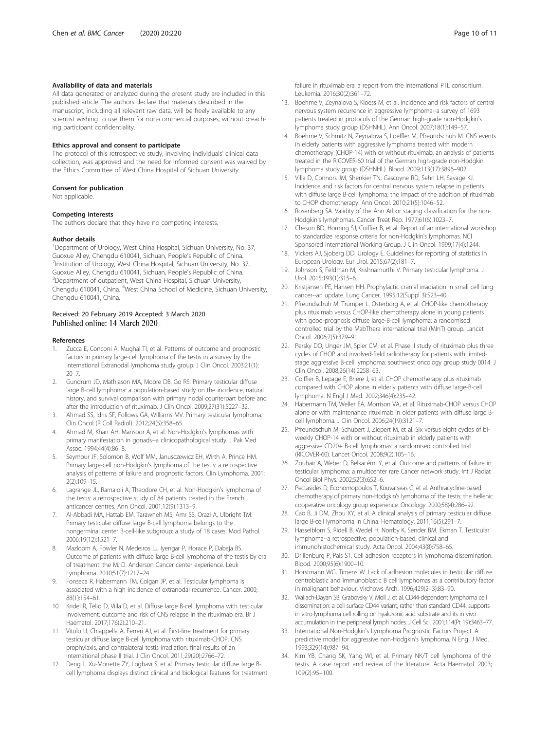## <span id="page-9-0"></span>Availability of data and materials

All data generated or analyzed during the present study are included in this published article. The authors declare that materials described in the manuscript, including all relevant raw data, will be freely available to any scientist wishing to use them for non-commercial purposes, without breaching participant confidentiality.

#### Ethics approval and consent to participate

The protocol of this retrospective study, involving individuals' clinical data collection, was approved and the need for informed consent was waived by the Ethics Committee of West China Hospital of Sichuan University.

#### Consent for publication

Not applicable.

#### Competing interests

The authors declare that they have no competing interests.

#### Author details

<sup>1</sup>Department of Urology, West China Hospital, Sichuan University, No. 37, Guoxue Alley, Chengdu 610041, Sichuan, People's Republic of China. <sup>2</sup> <sup>2</sup>Institution of Urology, West China Hospital, Sichuan University, No. 37, Guoxue Alley, Chengdu 610041, Sichuan, People's Republic of China. <sup>3</sup> <sup>3</sup>Department of outpatient, West China Hospital, Sichuan University, Chengdu 610041, China. <sup>4</sup>West China School of Medicine, Sichuan University, Chengdu 610041, China.

## Received: 20 February 2019 Accepted: 3 March 2020 Published online: 14 March 2020

#### References

- 1. Zucca E, Conconi A, Mughal TI, et al. Patterns of outcome and prognostic factors in primary large-cell lymphoma of the testis in a survey by the international Extranodal lymphoma study group. J Clin Oncol. 2003;21(1):  $20 - 7$
- 2. Gundrum JD, Mathiason MA, Moore DB, Go RS. Primary testicular diffuse large B-cell lymphoma: a population-based study on the incidence, natural history, and survival comparison with primary nodal counterpart before and after the introduction of rituximab. J Clin Oncol. 2009;27(31):5227–32.
- 3. Ahmad SS, Idris SF, Follows GA, Williams MV. Primary testicular lymphoma. Clin Oncol (R Coll Radiol). 2012;24(5):358–65.
- 4. Ahmad M, Khan AH, Mansoor A, et al. Non-Hodgkin's lymphomas with primary manifestation in gonads--a clinicopathological study. J Pak Med Assoc. 1994;44(4):86–8.
- 5. Seymour JF, Solomon B, Wolf MM, Janusczewicz EH, Wirth A, Prince HM. Primary large-cell non-Hodgkin's lymphoma of the testis: a retrospective analysis of patterns of failure and prognostic factors. Clin Lymphoma. 2001; 2(2):109–15.
- 6. Lagrange JL, Ramaioli A, Theodore CH, et al. Non-Hodgkin's lymphoma of the testis: a retrospective study of 84 patients treated in the French anticancer centres. Ann Oncol. 2001;12(9):1313–9.
- 7. Al-Abbadi MA, Hattab EM, Tarawneh MS, Amr SS, Orazi A, Ulbright TM. Primary testicular diffuse large B-cell lymphoma belongs to the nongerminal center B-cell-like subgroup: a study of 18 cases. Mod Pathol. 2006;19(12):1521–7.
- 8. Mazloom A, Fowler N, Medeiros LJ, Iyengar P, Horace P, Dabaja BS. Outcome of patients with diffuse large B-cell lymphoma of the testis by era of treatment: the M. D. Anderson Cancer center experience. Leuk Lymphoma. 2010;51(7):1217–24.
- 9. Fonseca R, Habermann TM, Colgan JP, et al. Testicular lymphoma is associated with a high incidence of extranodal recurrence. Cancer. 2000; 88(1):154–61.
- 10. Kridel R, Telio D, Villa D, et al. Diffuse large B-cell lymphoma with testicular involvement: outcome and risk of CNS relapse in the rituximab era. Br J Haematol. 2017;176(2):210–21.
- 11. Vitolo U, Chiappella A, Ferreri AJ, et al. First-line treatment for primary testicular diffuse large B-cell lymphoma with rituximab-CHOP, CNS prophylaxis, and contralateral testis irradiation: final results of an international phase II trial. J Clin Oncol. 2011;29(20):2766–72.
- 12. Deng L, Xu-Monette ZY, Loghavi S, et al. Primary testicular diffuse large Bcell lymphoma displays distinct clinical and biological features for treatment

failure in rituximab era: a report from the international PTL consortium. Leukemia. 2016;30(2):361–72.

- 13. Boehme V, Zeynalova S, Kloess M, et al. Incidence and risk factors of central nervous system recurrence in aggressive lymphoma--a survey of 1693 patients treated in protocols of the German high-grade non-Hodgkin's lymphoma study group (DSHNHL). Ann Oncol. 2007;18(1):149–57.
- 14. Boehme V, Schmitz N, Zeynalova S, Loeffler M, Pfreundschuh M. CNS events in elderly patients with aggressive lymphoma treated with modern chemotherapy (CHOP-14) with or without rituximab: an analysis of patients treated in the RICOVER-60 trial of the German high-grade non-Hodgkin lymphoma study group (DSHNHL). Blood. 2009;113(17):3896–902.
- 15. Villa D, Connors JM, Shenkier TN, Gascoyne RD, Sehn LH, Savage KJ. Incidence and risk factors for central nervous system relapse in patients with diffuse large B-cell lymphoma: the impact of the addition of rituximab to CHOP chemotherapy. Ann Oncol. 2010;21(5):1046–52.
- 16. Rosenberg SA. Validity of the Ann Arbor staging classification for the non-Hodgkin's lymphomas. Cancer Treat Rep. 1977;61(6):1023–7.
- 17. Cheson BD, Horning SJ, Coiffier B, et al. Report of an international workshop to standardize response criteria for non-Hodgkin's lymphomas. NCI Sponsored International Working Group. J Clin Oncol. 1999;17(4):1244.
- 18. Vickers AJ, Sjoberg DD, Urology E. Guidelines for reporting of statistics in European Urology. Eur Urol. 2015;67(2):181–7.
- 19. Johnson S, Feldman M, Krishnamurthi V. Primary testicular lymphoma. J Urol. 2015;193(1):315–6.
- 20. Kristjansen PE, Hansen HH. Prophylactic cranial irradiation in small cell lung cancer--an update. Lung Cancer. 1995;12(Suppl 3):S23–40.
- 21. Pfreundschuh M, Trümper L, Osterborg A, et al. CHOP-like chemotherapy plus rituximab versus CHOP-like chemotherapy alone in young patients with good-prognosis diffuse large-B-cell lymphoma: a randomised controlled trial by the MabThera international trial (MInT) group. Lancet Oncol. 2006;7(5):379–91.
- 22. Persky DO, Unger JM, Spier CM, et al. Phase II study of rituximab plus three cycles of CHOP and involved-field radiotherapy for patients with limitedstage aggressive B-cell lymphoma: southwest oncology group study 0014. J Clin Oncol. 2008;26(14):2258–63.
- 23. Coiffier B, Lepage E, Briere J, et al. CHOP chemotherapy plus rituximab compared with CHOP alone in elderly patients with diffuse large-B-cell lymphoma. N Engl J Med. 2002;346(4):235–42.
- 24. Habermann TM, Weller EA, Morrison VA, et al. Rituximab-CHOP versus CHOP alone or with maintenance rituximab in older patients with diffuse large Bcell lymphoma. J Clin Oncol. 2006;24(19):3121–7.
- 25. Pfreundschuh M, Schubert J, Ziepert M, et al. Six versus eight cycles of biweekly CHOP-14 with or without rituximab in elderly patients with aggressive CD20+ B-cell lymphomas: a randomised controlled trial (RICOVER-60). Lancet Oncol. 2008;9(2):105–16.
- 26. Zouhair A, Weber D, Belkacémi Y, et al. Outcome and patterns of failure in testicular lymphoma: a multicenter rare Cancer network study. Int J Radiat Oncol Biol Phys. 2002;52(3):652–6.
- 27. Pectasides D, Economopoulos T, Kouvatseas G, et al. Anthracycline-based chemotherapy of primary non-Hodgkin's lymphoma of the testis: the hellenic cooperative oncology group experience. Oncology. 2000;58(4):286–92.
- 28. Cao B, Ji DM, Zhou XY, et al. A clinical analysis of primary testicular diffuse large B-cell lymphoma in China. Hematology. 2011;16(5):291–7.
- 29. Hasselblom S, Ridell B, Wedel H, Norrby K, Sender BM, Ekman T. Testicular lymphoma--a retrospective, population-based, clinical and immunohistochemical study. Acta Oncol. 2004;43(8):758–65.
- 30. Drillenburg P, Pals ST. Cell adhesion receptors in lymphoma dissemination. Blood. 2000;95(6):1900–10.
- 31. Horstmann WG, Timens W. Lack of adhesion molecules in testicular diffuse centroblastic and immunoblastic B cell lymphomas as a contributory factor in malignant behaviour. Virchows Arch. 1996;429(2–3):83–90.
- 32. Wallach-Dayan SB, Grabovsky V, Moll J, et al. CD44-dependent lymphoma cell dissemination: a cell surface CD44 variant, rather than standard CD44, supports in vitro lymphoma cell rolling on hyaluronic acid substrate and its in vivo accumulation in the peripheral lymph nodes. J Cell Sci. 2001;114(Pt 19):3463–77.
- 33. International Non-Hodgkin's Lymphoma Prognostic Factors Project. A predictive model for aggressive non-Hodgkin's lymphoma. N Engl J Med. 1993;329(14):987–94.
- 34. Kim YB, Chang SK, Yang WI, et al. Primary NK/T cell lymphoma of the testis. A case report and review of the literature. Acta Haematol. 2003; 109(2):95–100.